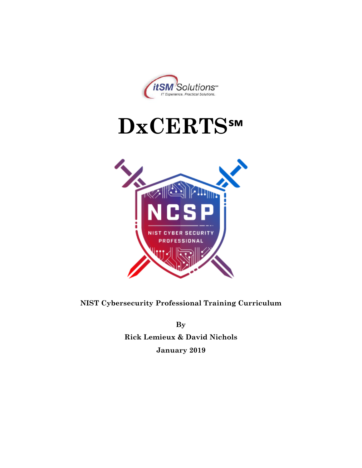





**By Rick Lemieux & David Nichols January 2019**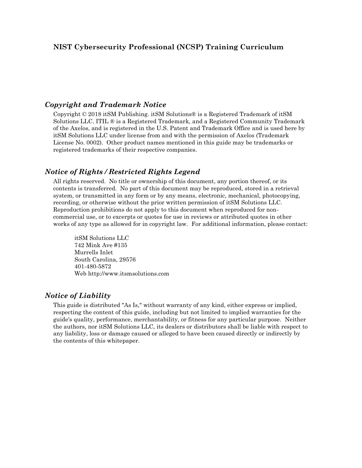### *Copyright and Trademark Notice*

Copyright © 2018 itSM Publishing. itSM Solutions® is a Registered Trademark of itSM Solutions LLC. ITIL ® is a Registered Trademark, and a Registered Community Trademark of the Axelos, and is registered in the U.S. Patent and Trademark Office and is used here by itSM Solutions LLC under license from and with the permission of Axelos (Trademark License No. 0002). Other product names mentioned in this guide may be trademarks or registered trademarks of their respective companies.

### *Notice of Rights / Restricted Rights Legend*

All rights reserved. No title or ownership of this document, any portion thereof, or its contents is transferred. No part of this document may be reproduced, stored in a retrieval system, or transmitted in any form or by any means, electronic, mechanical, photocopying, recording, or otherwise without the prior written permission of itSM Solutions LLC. Reproduction prohibitions do not apply to this document when reproduced for noncommercial use, or to excerpts or quotes for use in reviews or attributed quotes in other works of any type as allowed for in copyright law. For additional information, please contact:

itSM Solutions LLC 742 Mink Ave #135 Murrells Inlet South Carolina, 29576 401-480-5872 Web http://www.itsmsolutions.com

#### *Notice of Liability*

This guide is distributed "As Is," without warranty of any kind, either express or implied, respecting the content of this guide, including but not limited to implied warranties for the guide's quality, performance, merchantability, or fitness for any particular purpose. Neither the authors, nor itSM Solutions LLC, its dealers or distributors shall be liable with respect to any liability, loss or damage caused or alleged to have been caused directly or indirectly by the contents of this whitepaper.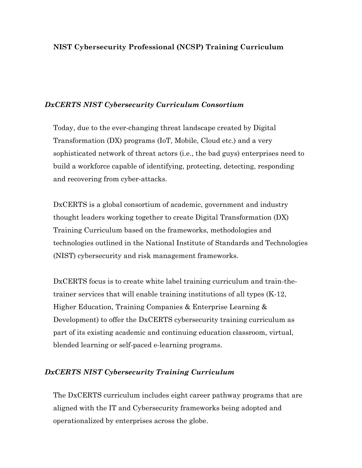### *DxCERTS NIST Cybersecurity Curriculum Consortium*

Today, due to the ever-changing threat landscape created by Digital Transformation (DX) programs (IoT, Mobile, Cloud etc.) and a very sophisticated network of threat actors (i.e., the bad guys) enterprises need to build a workforce capable of identifying, protecting, detecting, responding and recovering from cyber-attacks.

DxCERTS is a global consortium of academic, government and industry thought leaders working together to create Digital Transformation (DX) Training Curriculum based on the frameworks, methodologies and technologies outlined in the National Institute of Standards and Technologies (NIST) cybersecurity and risk management frameworks.

DxCERTS focus is to create white label training curriculum and train-thetrainer services that will enable training institutions of all types (K-12, Higher Education, Training Companies & Enterprise Learning & Development) to offer the DxCERTS cybersecurity training curriculum as part of its existing academic and continuing education classroom, virtual, blended learning or self-paced e-learning programs.

### *DxCERTS NIST Cybersecurity Training Curriculum*

The DxCERTS curriculum includes eight career pathway programs that are aligned with the IT and Cybersecurity frameworks being adopted and operationalized by enterprises across the globe.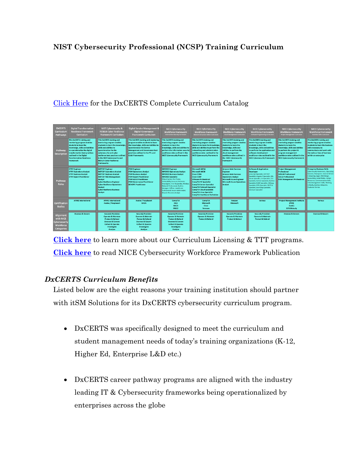## [Click Here](https://www.itsmsolutions.com/wp-content/uploads/2019/03/DxCERTS-Course-Catalog-Feb-2019-rev3.pdf) for the DxCERTS Complete Curriculum Catalog

| <b>DxCERTS</b><br>Curriculum<br>Pathways                                  | <b>Digital Transformation</b><br><b>Readiness Framework</b><br><b>Curriculum</b>                                                                                                                                                                                | <b>NIST Cybersecurity &amp;</b><br><b>RESILIA Cyber Resilience</b><br><b>Framework Curriculum</b>                                                                                                                                                                                                        | <b>Digital Service Management &amp;</b><br><b>Digital Governance</b><br><b>Framework Curriculum</b>                                                                                                                                                        | <b>NICE Cybersecurity</b><br><b>Workforce Framework</b><br><b>Information Security Curriculum</b>                                                                                                                                                                                                                                                                                       | <b>NICE Cybersecurity</b><br><b>Workforce Framework</b><br>Network & System Admin Curriculum                                                                                                                                                                                                                                           | <b>NICE Cybersecurity</b><br><b>Workforce Framework</b><br><b>Cloud Management Curriculum</b>                                                                                                                                  | <b>NICE Cybersecurity</b><br><b>Workforce Framework</b><br><b>Software Programming Curriculum</b>                                                                                                                                                                                                                                                       | <b>NICE Cybersecurity</b><br><b>Workforce Framework</b><br><b>Project Management Curriculum</b>                                                                                                                                                | <b>NICE Cybersecurity</b><br>Workforce Framework<br><b>Business Skills Curriculum</b>                                                                                                                                                                                                                                            |
|---------------------------------------------------------------------------|-----------------------------------------------------------------------------------------------------------------------------------------------------------------------------------------------------------------------------------------------------------------|----------------------------------------------------------------------------------------------------------------------------------------------------------------------------------------------------------------------------------------------------------------------------------------------------------|------------------------------------------------------------------------------------------------------------------------------------------------------------------------------------------------------------------------------------------------------------|-----------------------------------------------------------------------------------------------------------------------------------------------------------------------------------------------------------------------------------------------------------------------------------------------------------------------------------------------------------------------------------------|----------------------------------------------------------------------------------------------------------------------------------------------------------------------------------------------------------------------------------------------------------------------------------------------------------------------------------------|--------------------------------------------------------------------------------------------------------------------------------------------------------------------------------------------------------------------------------|---------------------------------------------------------------------------------------------------------------------------------------------------------------------------------------------------------------------------------------------------------------------------------------------------------------------------------------------------------|------------------------------------------------------------------------------------------------------------------------------------------------------------------------------------------------------------------------------------------------|----------------------------------------------------------------------------------------------------------------------------------------------------------------------------------------------------------------------------------------------------------------------------------------------------------------------------------|
| Pathway<br><b>Description</b>                                             | This DxCERTS training and<br>mentoring program enables<br>students to learn the<br>knowledge, skills and abilities<br>to operationalize the digital<br>transformation best practices<br>outlined in the Digital<br><b>Transformation Readiness</b><br>Framework | This DxCERTS training and<br>mentoring program enables<br>students to learn the knowledge<br>skills and abilities to<br>operationalize the the<br>cybersecurity and cyber<br>resilience best practices outlined<br>in the NIST Cybersecurity and<br><b>RESILIA Cyber Resilience</b><br><b>Frameworks</b> | This DxCERTS training and mentoring<br>program enables students to learn<br>the knowledge, skills and abilities to<br>operationalize the Service<br><b>Management and Governance best</b><br>practices outlined in the ITIL and<br><b>Cobit Frameworks</b> | This DxCERTS training and<br>mentoring program enables<br>students to learn the<br>knowledge, skills and abilities to<br>perform the information security<br>workforce roles outlined in the<br><b>NICE Cybersecurity Framework</b>                                                                                                                                                     | This DxCERTS training and<br>mentoring program enables<br>students to learn the knowledge.<br>skills and abilities to perform the<br>networking and administration<br>workforce roles outlined in the<br><b>NICE Cybersecurity Framework</b>                                                                                           | This DxCERTS training and<br>mentoring program enables<br>students to learn the<br>knowledge, skills and<br>abilities to perform the<br>cloud management<br>workforce roles outlined in<br>the NICE Cybersecurity<br>Framework | This DxCERTS training and<br>mentoring program enables<br>students to learn the<br>knowledge, skills and abilities<br>to perform the application and<br>software development<br>workforce roles outlined in the<br><b>NICE Cybersecurity Framework</b>                                                                                                  | This DxCERTS training and<br>mentoring program enables<br>students to learn the<br>knowledge, skills and abilities<br>to perform the project &<br>program management<br>workforce roles outlined in the<br><b>NICE Cybersecurity Framework</b> | This DxCERTS training and<br>mentoring program enables<br>students to learn the business<br>skills necessary to<br>communicate and work with<br>the various lines of business<br>within an enterprise                                                                                                                            |
| Pathway<br><b>Roles</b>                                                   | <b>DTRF Engineer</b><br><b>DTRF Operations Analyst</b><br><b>DTRF Business Analyst</b><br><b>DTRF Expert Practitioner</b>                                                                                                                                       | <b>NISTCSF Engineer</b><br><b>NISTCSF Operations Analyst</b><br><b>NISTCSF Business Analyst</b><br><b>NISTCSF Risk Management</b><br><b>Analyst</b><br><b>Cyber Resilience Engineer</b><br><b>Cyber Resilience Operations</b><br>Analyst<br><b>Cyber Resilience Business</b><br>Analyst                  | <b>ITSM Engineer</b><br><b>ITSM Operations Analyst</b><br><b>ITSM Business Analyst</b><br><b>ITSM Expert Practitioner</b><br><b>ITSM AGILE Practitioner</b><br><b>ITSM Governance Practitioner</b><br><b>DEVOPS Practitioner</b>                           | <b>INFOSEC Engineer</b><br><b>INFOSEC Operations Analyst</b><br><b>INFOSEC Business Analyst</b><br><b>INFOSEC Specialist</b><br>Ethical Hacker, Pen Tester,<br>Vulnerability Assessor, Forensics<br>Investigator, First Responder, Wireless<br>Network Professional, Auditor,<br>Manager / Officer, Healthcare<br>Professional, Secure Web Analyst,<br><b>Disaster Recovery Analyst</b> | <b>Microsoft MCSA</b><br><b>Microsoft MCSE</b><br><b>Cisco CCNA</b><br><b>Cisco CCNP</b><br><b>VMware Professional</b><br><b>CompTIA PC Specialist</b><br><b>CompTIA Server Specialist</b><br><b>CompTIA Network Specialist</b><br><b>CompTIA Cloud Specialist</b><br><b>CompTIA Linux Specialist</b><br>CompTIA Healthcare Technician | <b>Amazon Web Services</b><br>Engineer<br><b>Amazon Web Services</b><br><b>Operations Analyst</b><br>Microsoft Azure Engineer<br><b>Microsoft Azure Operations</b><br>Analyst                                                  | <b>Software &amp; Application</b><br>Developer<br>Javascript Specialist, ASP.NET<br>Specialist, Angular 5 Specialist, SQL<br>Server Specialist, C+ Specialist, C++<br>Specialist, Python Specialist, Runline<br>Specialist, RUBY Specialist, HADoop<br>Specialist, PERL Specialist, RESTful<br>Specialist, BootStrap Specialist,<br>Selenium Specialist | <b>Project Management</b><br><b>Professional</b><br><b>SCRUM Professional</b><br><b>AGILE Professional</b><br><b>RISK Management Professional</b>                                                                                              | <b>Enterprise Business Skills</b><br>Cybersecurity Awareness, Operating<br>Systems, Sharepoint, Internet & Core<br>Computing, Legal, Web Design,<br>Accounting, Social Media, Human<br><b>Resources, Communication Skills,</b><br>Time Management Skills, Thinking<br>Critically, Business Etiquette,<br><b>Customer Service</b> |
| <b>Certification</b><br><b>Bodies</b>                                     | <b>APMG International</b>                                                                                                                                                                                                                                       | <b>APMG International</b><br><b>Axelos / Peoplecert</b>                                                                                                                                                                                                                                                  | <b>Axelos / Peoplecert</b><br><b>ISACA</b>                                                                                                                                                                                                                 | CompTIA<br>ISC <sub>2</sub><br><b>ISACA</b><br>MILE2                                                                                                                                                                                                                                                                                                                                    | <b>CompTIA</b><br>Microsoft<br>Cisco<br>Vmware                                                                                                                                                                                                                                                                                         | Amazon<br>Microsoft                                                                                                                                                                                                            | Various                                                                                                                                                                                                                                                                                                                                                 | <b>Project Management Institute</b><br>(PMI)<br>Axelos<br><b>SCRUMstudy</b>                                                                                                                                                                    | Various                                                                                                                                                                                                                                                                                                                          |
| Alignment<br>with NICE<br>Cybersecurity<br>Workforce<br><b>Categories</b> | Oversee & Govern                                                                                                                                                                                                                                                | <b>Securely Provision</b><br><b>Operate &amp; Maintain</b><br><b>Protect &amp; Defend</b><br><b>Oversee &amp; Govern</b><br><b>Collect &amp; Operate</b><br>Investigate<br>Analyze                                                                                                                       | <b>Securely Provision</b><br><b>Operate &amp; Maintain</b><br><b>Protect &amp; Defend</b><br><b>Oversee &amp; Govern</b><br><b>Collect &amp; Operate</b><br>Investigate<br>Analyze                                                                         | <b>Securely Provision</b><br><b>Operate &amp; Maintain</b><br><b>Protect &amp; Defend</b><br><b>Oversee &amp; Govern</b><br><b>Collect &amp; Operate</b><br>Investigate<br>Analyze                                                                                                                                                                                                      | <b>Securely Provision</b><br><b>Operate &amp; Maintain</b><br><b>Protect &amp; Defend</b>                                                                                                                                                                                                                                              | <b>Securely Provision</b><br><b>Operate &amp; Maintain</b><br><b>Protect &amp; Defend</b>                                                                                                                                      | <b>Securely Provision</b><br><b>Operate &amp; Maintain</b><br><b>Protect &amp; Defend</b>                                                                                                                                                                                                                                                               | <b>Oversee &amp; Govern</b>                                                                                                                                                                                                                    | <b>Oversee &amp; Govern</b>                                                                                                                                                                                                                                                                                                      |

**[Click here](https://nistcsf.com/nistcsf-com-licensing-partner/)** to learn more about our Curriculum Licensing & TTT programs. **[Click here](https://nistcsf.com/wp-content/uploads/2019/01/NIST.SP_.800-181-1.pdf)** to read NICE Cybersecurity Workforce Framework Publication

## *DxCERTS Curriculum Benefits*

Listed below are the eight reasons your training institution should partner with it SM Solutions for its DxCERTS cybersecurity curriculum program.

- DxCERTS was specifically designed to meet the curriculum and student management needs of today's training organizations (K-12, Higher Ed, Enterprise L&D etc.)
- DxCERTS career pathway programs are aligned with the industry leading IT & Cybersecurity frameworks being operationalized by enterprises across the globe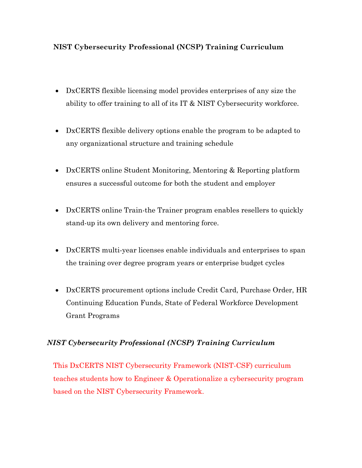- DxCERTS flexible licensing model provides enterprises of any size the ability to offer training to all of its IT & NIST Cybersecurity workforce.
- DxCERTS flexible delivery options enable the program to be adapted to any organizational structure and training schedule
- DxCERTS online Student Monitoring, Mentoring & Reporting platform ensures a successful outcome for both the student and employer
- DxCERTS online Train-the Trainer program enables resellers to quickly stand-up its own delivery and mentoring force.
- DxCERTS multi-year licenses enable individuals and enterprises to span the training over degree program years or enterprise budget cycles
- DxCERTS procurement options include Credit Card, Purchase Order, HR Continuing Education Funds, State of Federal Workforce Development Grant Programs

## *NIST Cybersecurity Professional (NCSP) Training Curriculum*

This DxCERTS NIST Cybersecurity Framework (NIST-CSF) curriculum teaches students how to Engineer & Operationalize a cybersecurity program based on the NIST Cybersecurity Framework.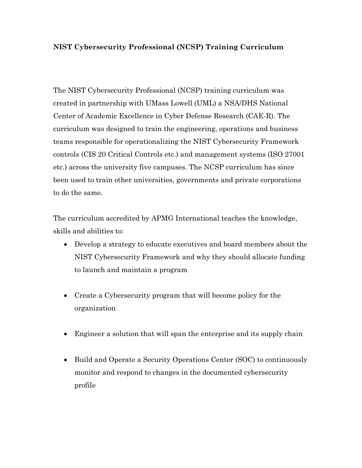The NIST Cybersecurity Professional (NCSP) training curriculum was created in partnership with UMass Lowell (UML) a NSA/DHS National Center of Academic Excellence in Cyber Defense Research (CAE-R). The curriculum was designed to train the engineering, operations and business teams responsible for operationalizing the NIST Cybersecurity Framework controls (CIS 20 Critical Controls etc.) and management systems (ISO 27001 etc.) across the university five campuses. The NCSP curriculum has since been used to train other universities, governments and private corporations to do the same.

The curriculum accredited by APMG International teaches the knowledge, skills and abilities to:

- Develop a strategy to educate executives and board members about the NIST Cybersecurity Framework and why they should allocate funding to launch and maintain a program
- Create a Cybersecurity program that will become policy for the organization
- Engineer a solution that will span the enterprise and its supply chain
- Build and Operate a Security Operations Center (SOC) to continuously monitor and respond to changes in the documented cybersecurity profile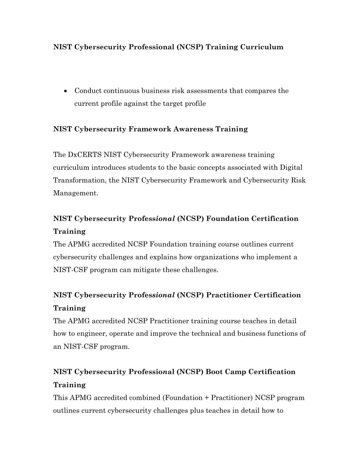• Conduct continuous business risk assessments that compares the current profile against the target profile

## **NIST Cybersecurity Framework Awareness Training**

The DxCERTS NIST Cybersecurity Framework awareness training curriculum introduces students to the basic concepts associated with Digital Transformation, the NIST Cybersecurity Framework and Cybersecurity Risk Management.

# **NIST Cybersecurity Profess***ional* **(NCSP) Foundation Certification Training**

The APMG accredited NCSP Foundation training course outlines current cybersecurity challenges and explains how organizations who implement a NIST-CSF program can mitigate these challenges.

# **NIST Cybersecurity Profes***sional* **(NCSP) Practitioner Certification Training**

The APMG accredited NCSP Practitioner training course teaches in detail how to engineer, operate and improve the technical and business functions of an NIST-CSF program.

# **NIST Cybersecurity Professio***n***al (NCSP) Boot Camp Certification Training**

This APMG accredited combined (Foundation + Practitioner) NCSP program outlines current cybersecurity challenges plus teaches in detail how to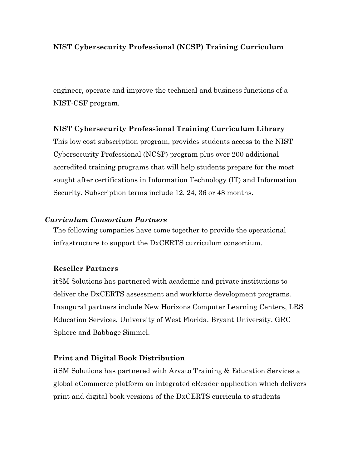engineer, operate and improve the technical and business functions of a NIST-CSF program.

### **NIST Cybersecurity Professional Training Curriculum Library**

This low cost subscription program, provides students access to the NIST Cybersecurity Professional (NCSP) program plus over 200 additional accredited training programs that will help students prepare for the most sought after certifications in Information Technology (IT) and Information Security. Subscription terms include 12, 24, 36 or 48 months.

### *Curriculum Consortium Partners*

The following companies have come together to provide the operational infrastructure to support the DxCERTS curriculum consortium.

### **Reseller Partners**

itSM Solutions has partnered with academic and private institutions to deliver the DxCERTS assessment and workforce development programs. Inaugural partners include New Horizons Computer Learning Centers, LRS Education Services, University of West Florida, Bryant University, GRC Sphere and Babbage Simmel.

### **Print and Digital Book Distribution**

itSM Solutions has partnered with Arvato Training & Education Services a global eCommerce platform an integrated eReader application which delivers print and digital book versions of the DxCERTS curricula to students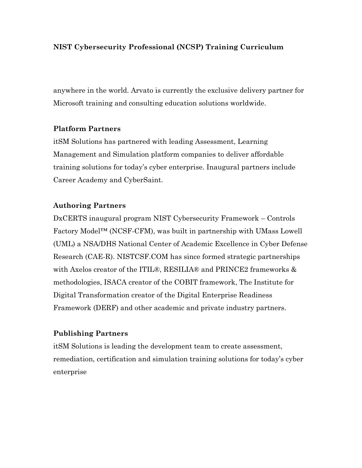anywhere in the world. Arvato is currently the exclusive delivery partner for Microsoft training and consulting education solutions worldwide.

### **Platform Partners**

itSM Solutions has partnered with leading Assessment, Learning Management and Simulation platform companies to deliver affordable training solutions for today's cyber enterprise. Inaugural partners include Career Academy and CyberSaint.

### **Authoring Partners**

DxCERTS inaugural program NIST Cybersecurity Framework – Controls Factory Model™ (NCSF-CFM), was built in partnership with UMass Lowell (UML) a NSA/DHS National Center of Academic Excellence in Cyber Defense Research (CAE-R). NISTCSF.COM has since formed strategic partnerships with Axelos creator of the ITIL®, RESILIA® and PRINCE2 frameworks & methodologies, ISACA creator of the COBIT framework, The Institute for Digital Transformation creator of the Digital Enterprise Readiness Framework (DERF) and other academic and private industry partners.

## **Publishing Partners**

itSM Solutions is leading the development team to create assessment, remediation, certification and simulation training solutions for today's cyber enterprise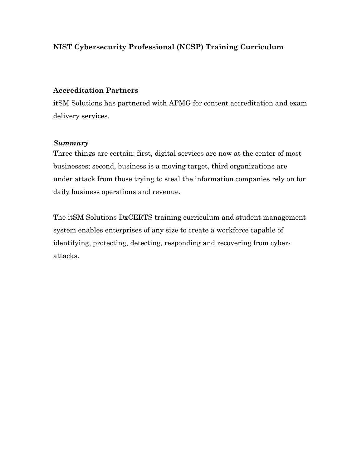### **Accreditation Partners**

itSM Solutions has partnered with APMG for content accreditation and exam delivery services.

### *Summary*

Three things are certain: first, digital services are now at the center of most businesses; second, business is a moving target, third organizations are under attack from those trying to steal the information companies rely on for daily business operations and revenue.

The itSM Solutions DxCERTS training curriculum and student management system enables enterprises of any size to create a workforce capable of identifying, protecting, detecting, responding and recovering from cyberattacks.